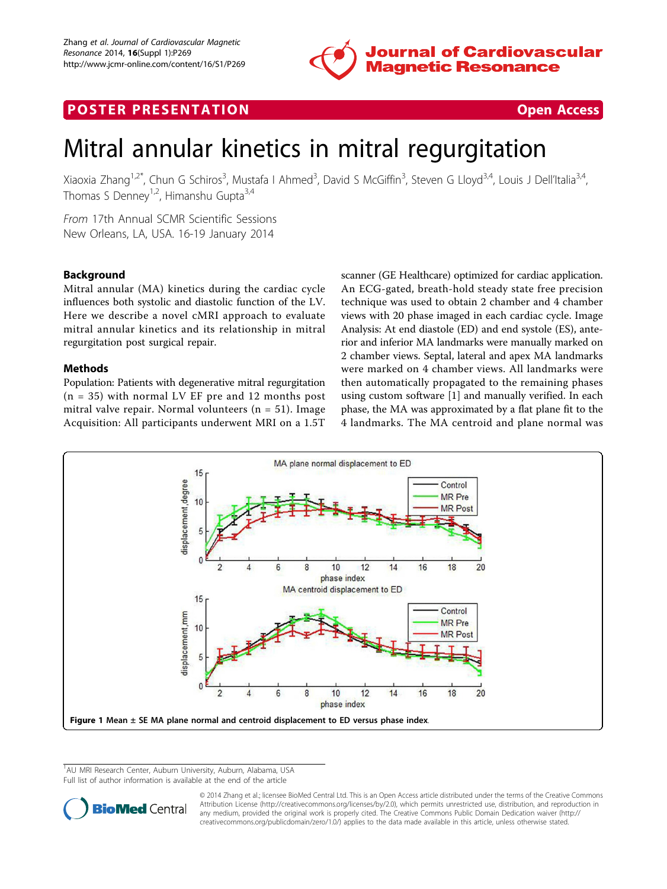

## <span id="page-0-0"></span>**POSTER PRESENTATION CONSUMING THE SECOND CONSUMING THE SECOND CONSUMING THE SECOND CONSUMING THE SECOND CONSUMING THE SECOND CONSUMING THE SECOND CONSUMING THE SECOND CONSUMING THE SECOND CONSUMING THE SECOND CONSUMING**

# Mitral annular kinetics in mitral regurgitation

Xiaoxia Zhang<sup>1,2\*</sup>, Chun G Schiros<sup>3</sup>, Mustafa I Ahmed<sup>3</sup>, David S McGiffin<sup>3</sup>, Steven G Lloyd<sup>3,4</sup>, Louis J Dell'Italia<sup>3,4</sup>, Thomas S Denney<sup>1,2</sup>, Himanshu Gupta<sup>3,4</sup>

From 17th Annual SCMR Scientific Sessions New Orleans, LA, USA. 16-19 January 2014

### Background

Mitral annular (MA) kinetics during the cardiac cycle influences both systolic and diastolic function of the LV. Here we describe a novel cMRI approach to evaluate mitral annular kinetics and its relationship in mitral regurgitation post surgical repair.

#### Methods

Population: Patients with degenerative mitral regurgitation  $(n = 35)$  with normal LV EF pre and 12 months post mitral valve repair. Normal volunteers ( $n = 51$ ). Image Acquisition: All participants underwent MRI on a 1.5T scanner (GE Healthcare) optimized for cardiac application. An ECG-gated, breath-hold steady state free precision technique was used to obtain 2 chamber and 4 chamber views with 20 phase imaged in each cardiac cycle. Image Analysis: At end diastole (ED) and end systole (ES), anterior and inferior MA landmarks were manually marked on 2 chamber views. Septal, lateral and apex MA landmarks were marked on 4 chamber views. All landmarks were then automatically propagated to the remaining phases using custom software [1] and manually verified. In each phase, the MA was approximated by a flat plane fit to the 4 landmarks. The MA centroid and plane normal was



<sup>&</sup>lt;sup>1</sup>AU MRI Research Center, Auburn University, Auburn, Alabama, USA Full list of author information is available at the end of the article



© 2014 Zhang et al.; licensee BioMed Central Ltd. This is an Open Access article distributed under the terms of the Creative Commons Attribution License [\(http://creativecommons.org/licenses/by/2.0](http://creativecommons.org/licenses/by/2.0)), which permits unrestricted use, distribution, and reproduction in any medium, provided the original work is properly cited. The Creative Commons Public Domain Dedication waiver [\(http://](http://creativecommons.org/publicdomain/zero/1.0/) [creativecommons.org/publicdomain/zero/1.0/](http://creativecommons.org/publicdomain/zero/1.0/)) applies to the data made available in this article, unless otherwise stated.